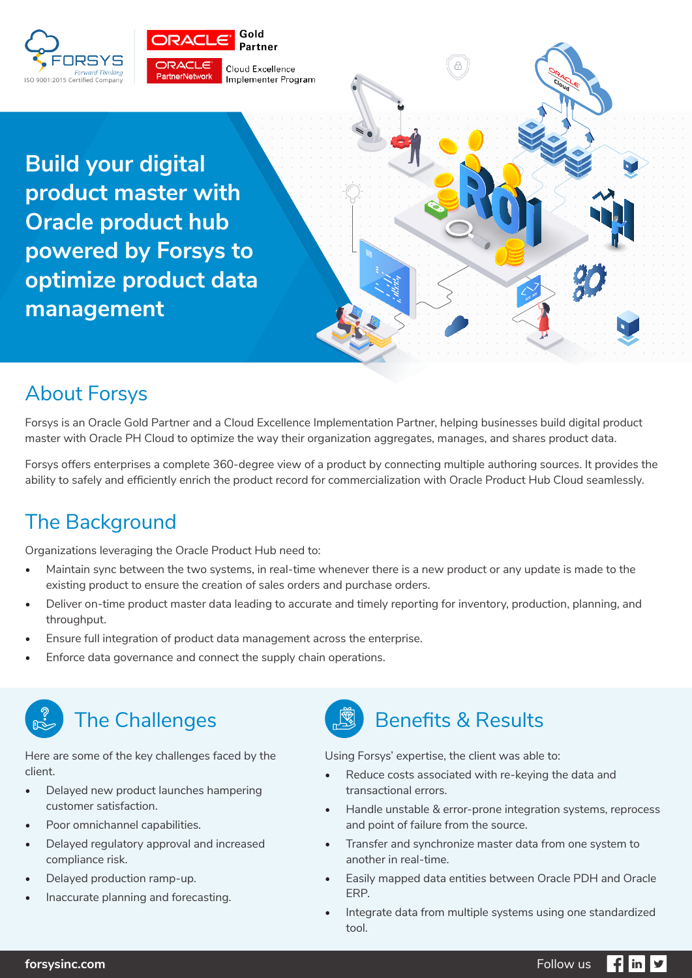



**Build your digital product master with Oracle product hub powered by Forsys to optimize product data management** 

# About Forsys

Forsys is an Oracle Gold Partner and a Cloud Excellence Implementation Partner, helping businesses build digital product master with Oracle PH Cloud to optimize the way their organization aggregates, manages, and shares product data.

Forsys offers enterprises a complete 360-degree view of a product by connecting multiple authoring sources. It provides the ability to safely and efficiently enrich the product record for commercialization with Oracle Product Hub Cloud seamlessly.

## The Background

Organizations leveraging the Oracle Product Hub need to:

- Maintain sync between the two systems, in real-time whenever there is a new product or any update is made to the existing product to ensure the creation of sales orders and purchase orders.
- Deliver on-time product master data leading to accurate and timely reporting for inventory, production, planning, and throughput.
- Ensure full integration of product data management across the enterprise.
- Enforce data governance and connect the supply chain operations.



## The Challenges

Here are some of the key challenges faced by the client.

- Delayed new product launches hampering customer satisfaction.
- Poor omnichannel capabilities.
- Delayed regulatory approval and increased compliance risk.
- Delayed production ramp-up.
- Inaccurate planning and forecasting.



Using Forsys' expertise, the client was able to:

- Reduce costs associated with re-keying the data and transactional errors.
- Handle unstable & error-prone integration systems, reprocess and point of failure from the source.
- Transfer and synchronize master data from one system to another in real-time.
- Easily mapped data entities between Oracle PDH and Oracle ERP.
- Integrate data from multiple systems using one standardized tool.